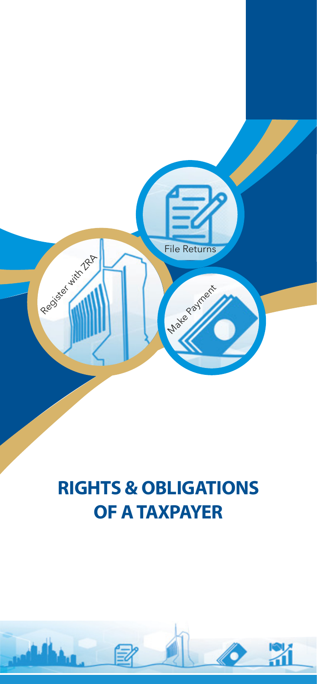

# **RIGHTS & OBLIGATIONS OF A TAXPAYER**